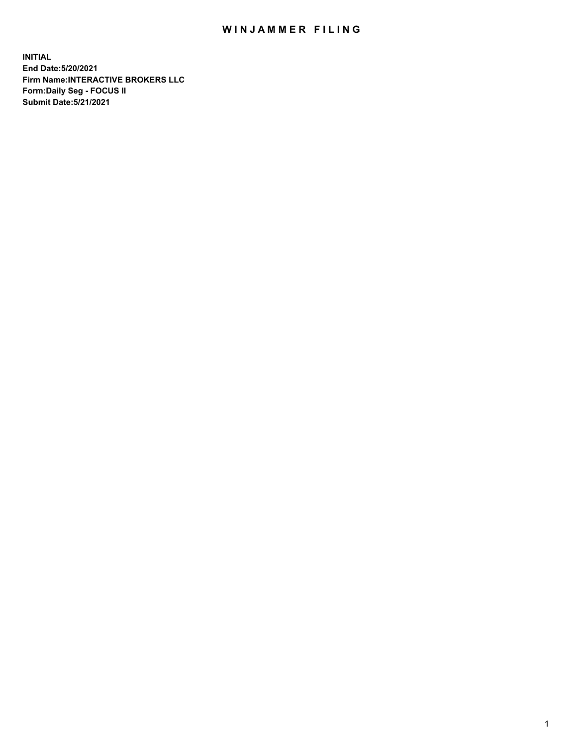## WIN JAMMER FILING

**INITIAL End Date:5/20/2021 Firm Name:INTERACTIVE BROKERS LLC Form:Daily Seg - FOCUS II Submit Date:5/21/2021**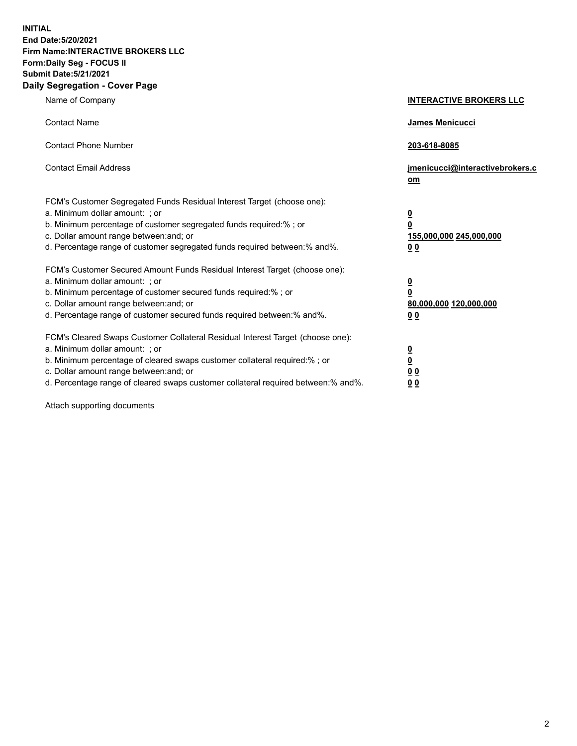**INITIAL End Date:5/20/2021 Firm Name:INTERACTIVE BROKERS LLC Form:Daily Seg - FOCUS II Submit Date:5/21/2021 Daily Segregation - Cover Page**

| Name of Company                                                                                                                                                                                                                                                                                                               | <b>INTERACTIVE BROKERS LLC</b>                                                            |  |
|-------------------------------------------------------------------------------------------------------------------------------------------------------------------------------------------------------------------------------------------------------------------------------------------------------------------------------|-------------------------------------------------------------------------------------------|--|
| <b>Contact Name</b>                                                                                                                                                                                                                                                                                                           | James Menicucci                                                                           |  |
| <b>Contact Phone Number</b>                                                                                                                                                                                                                                                                                                   | 203-618-8085                                                                              |  |
| <b>Contact Email Address</b>                                                                                                                                                                                                                                                                                                  | jmenicucci@interactivebrokers.c<br><u>om</u>                                              |  |
| FCM's Customer Segregated Funds Residual Interest Target (choose one):<br>a. Minimum dollar amount: ; or<br>b. Minimum percentage of customer segregated funds required:% ; or<br>c. Dollar amount range between: and; or<br>d. Percentage range of customer segregated funds required between: % and %.                      | $\overline{\mathbf{0}}$<br>0<br>155,000,000 245,000,000<br>0 <sub>0</sub>                 |  |
| FCM's Customer Secured Amount Funds Residual Interest Target (choose one):<br>a. Minimum dollar amount: ; or<br>b. Minimum percentage of customer secured funds required:%; or<br>c. Dollar amount range between: and; or<br>d. Percentage range of customer secured funds required between:% and%.                           | <u>0</u><br>$\overline{\mathbf{0}}$<br>80,000,000 120,000,000<br>00                       |  |
| FCM's Cleared Swaps Customer Collateral Residual Interest Target (choose one):<br>a. Minimum dollar amount: ; or<br>b. Minimum percentage of cleared swaps customer collateral required:%; or<br>c. Dollar amount range between: and; or<br>d. Percentage range of cleared swaps customer collateral required between:% and%. | <u>0</u><br>$\underline{\mathbf{0}}$<br>$\underline{0}$ $\underline{0}$<br>0 <sub>0</sub> |  |

Attach supporting documents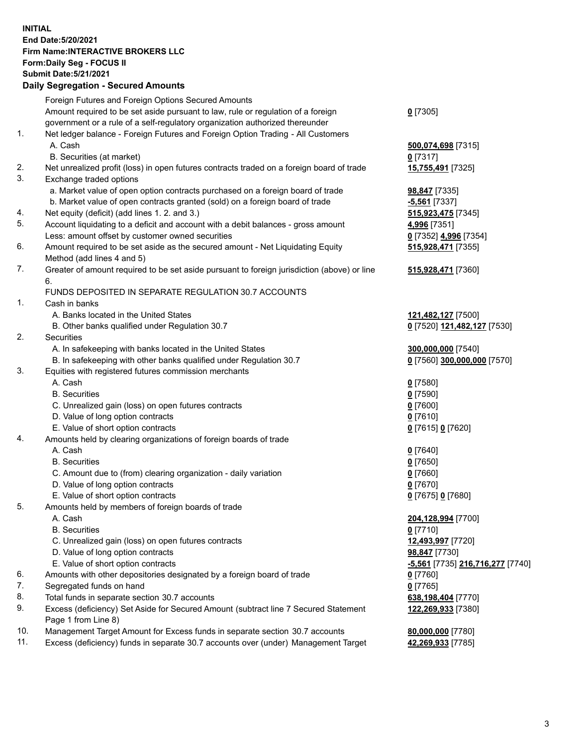**INITIAL End Date:5/20/2021 Firm Name:INTERACTIVE BROKERS LLC Form:Daily Seg - FOCUS II Submit Date:5/21/2021 Daily Segregation - Secured Amounts**

## Foreign Futures and Foreign Options Secured Amounts Amount required to be set aside pursuant to law, rule or regulation of a foreign government or a rule of a self-regulatory organization authorized thereunder **0** [7305] 1. Net ledger balance - Foreign Futures and Foreign Option Trading - All Customers A. Cash **500,074,698** [7315] B. Securities (at market) **0** [7317] 2. Net unrealized profit (loss) in open futures contracts traded on a foreign board of trade **15,755,491** [7325] 3. Exchange traded options a. Market value of open option contracts purchased on a foreign board of trade **98,847** [7335] b. Market value of open contracts granted (sold) on a foreign board of trade **-5,561** [7337] 4. Net equity (deficit) (add lines 1. 2. and 3.) **515,923,475** [7345] 5. Account liquidating to a deficit and account with a debit balances - gross amount **4,996** [7351] Less: amount offset by customer owned securities **0** [7352] **4,996** [7354] 6. Amount required to be set aside as the secured amount - Net Liquidating Equity Method (add lines 4 and 5) **515,928,471** [7355] 7. Greater of amount required to be set aside pursuant to foreign jurisdiction (above) or line 6. **515,928,471** [7360] FUNDS DEPOSITED IN SEPARATE REGULATION 30.7 ACCOUNTS 1. Cash in banks A. Banks located in the United States **121,482,127** [7500] B. Other banks qualified under Regulation 30.7 **0** [7520] **121,482,127** [7530] 2. Securities A. In safekeeping with banks located in the United States **300,000,000** [7540] B. In safekeeping with other banks qualified under Regulation 30.7 **0** [7560] **300,000,000** [7570] 3. Equities with registered futures commission merchants A. Cash **0** [7580] B. Securities **0** [7590] C. Unrealized gain (loss) on open futures contracts **0** [7600] D. Value of long option contracts **0** [7610] E. Value of short option contracts **0** [7615] **0** [7620] 4. Amounts held by clearing organizations of foreign boards of trade A. Cash **0** [7640] B. Securities **0** [7650] C. Amount due to (from) clearing organization - daily variation **0** [7660] D. Value of long option contracts **0** [7670] E. Value of short option contracts **0** [7675] **0** [7680] 5. Amounts held by members of foreign boards of trade A. Cash **204,128,994** [7700] B. Securities **0** [7710] C. Unrealized gain (loss) on open futures contracts **12,493,997** [7720] D. Value of long option contracts **98,847** [7730] E. Value of short option contracts **-5,561** [7735] **216,716,277** [7740] 6. Amounts with other depositories designated by a foreign board of trade **0** [7760] 7. Segregated funds on hand **0** [7765]<br> **8.** Total funds in separate section 30.7 accounts **198. 199.404 638.198.404** [7770] 8. Total funds in separate section 30.7 accounts 9. Excess (deficiency) Set Aside for Secured Amount (subtract line 7 Secured Statement Page 1 from Line 8) **122,269,933** [7380] 10. Management Target Amount for Excess funds in separate section 30.7 accounts **80,000,000** [7780] 11. Excess (deficiency) funds in separate 30.7 accounts over (under) Management Target **42,269,933** [7785]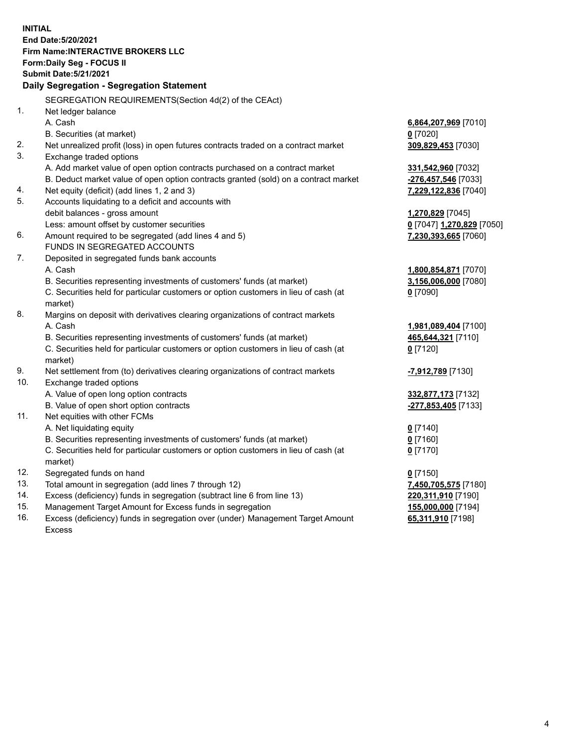**INITIAL End Date:5/20/2021 Firm Name:INTERACTIVE BROKERS LLC Form:Daily Seg - FOCUS II Submit Date:5/21/2021 Daily Segregation - Segregation Statement** SEGREGATION REQUIREMENTS(Section 4d(2) of the CEAct) 1. Net ledger balance A. Cash **6,864,207,969** [7010] B. Securities (at market) **0** [7020] 2. Net unrealized profit (loss) in open futures contracts traded on a contract market **309,829,453** [7030] 3. Exchange traded options A. Add market value of open option contracts purchased on a contract market **331,542,960** [7032] B. Deduct market value of open option contracts granted (sold) on a contract market **-276,457,546** [7033] 4. Net equity (deficit) (add lines 1, 2 and 3) **7,229,122,836** [7040] 5. Accounts liquidating to a deficit and accounts with debit balances - gross amount **1,270,829** [7045] Less: amount offset by customer securities **0** [7047] **1,270,829** [7050] 6. Amount required to be segregated (add lines 4 and 5) **7,230,393,665** [7060] FUNDS IN SEGREGATED ACCOUNTS 7. Deposited in segregated funds bank accounts A. Cash **1,800,854,871** [7070] B. Securities representing investments of customers' funds (at market) **3,156,006,000** [7080] C. Securities held for particular customers or option customers in lieu of cash (at market) **0** [7090] 8. Margins on deposit with derivatives clearing organizations of contract markets A. Cash **1,981,089,404** [7100] B. Securities representing investments of customers' funds (at market) **465,644,321** [7110] C. Securities held for particular customers or option customers in lieu of cash (at market) **0** [7120] 9. Net settlement from (to) derivatives clearing organizations of contract markets **-7,912,789** [7130] 10. Exchange traded options A. Value of open long option contracts **332,877,173** [7132] B. Value of open short option contracts **-277,853,405** [7133] 11. Net equities with other FCMs A. Net liquidating equity **0** [7140] B. Securities representing investments of customers' funds (at market) **0** [7160] C. Securities held for particular customers or option customers in lieu of cash (at market) **0** [7170] 12. Segregated funds on hand **0** [7150] 13. Total amount in segregation (add lines 7 through 12) **7,450,705,575** [7180] 14. Excess (deficiency) funds in segregation (subtract line 6 from line 13) **220,311,910** [7190] 15. Management Target Amount for Excess funds in segregation **155,000,000** [7194]

16. Excess (deficiency) funds in segregation over (under) Management Target Amount Excess

**65,311,910** [7198]